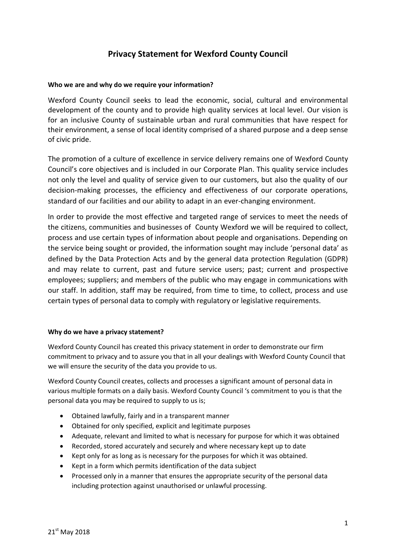# **Privacy Statement for Wexford County Council**

#### **Who we are and why do we require your information?**

Wexford County Council seeks to lead the economic, social, cultural and environmental development of the county and to provide high quality services at local level. Our vision is for an inclusive County of sustainable urban and rural communities that have respect for their environment, a sense of local identity comprised of a shared purpose and a deep sense of civic pride.

The promotion of a culture of excellence in service delivery remains one of Wexford County Council's core objectives and is included in our Corporate Plan. This quality service includes not only the level and quality of service given to our customers, but also the quality of our decision-making processes, the efficiency and effectiveness of our corporate operations, standard of our facilities and our ability to adapt in an ever-changing environment.

In order to provide the most effective and targeted range of services to meet the needs of the citizens, communities and businesses of County Wexford we will be required to collect, process and use certain types of information about people and organisations. Depending on the service being sought or provided, the information sought may include 'personal data' as defined by the Data Protection Acts and by the general data protection Regulation (GDPR) and may relate to current, past and future service users; past; current and prospective employees; suppliers; and members of the public who may engage in communications with our staff. In addition, staff may be required, from time to time, to collect, process and use certain types of personal data to comply with regulatory or legislative requirements.

#### **Why do we have a privacy statement?**

Wexford County Council has created this privacy statement in order to demonstrate our firm commitment to privacy and to assure you that in all your dealings with Wexford County Council that we will ensure the security of the data you provide to us.

Wexford County Council creates, collects and processes a significant amount of personal data in various multiple formats on a daily basis. Wexford County Council 's commitment to you is that the personal data you may be required to supply to us is;

- Obtained lawfully, fairly and in a transparent manner
- Obtained for only specified, explicit and legitimate purposes
- Adequate, relevant and limited to what is necessary for purpose for which it was obtained
- Recorded, stored accurately and securely and where necessary kept up to date
- Kept only for as long as is necessary for the purposes for which it was obtained.
- Kept in a form which permits identification of the data subject
- Processed only in a manner that ensures the appropriate security of the personal data including protection against unauthorised or unlawful processing.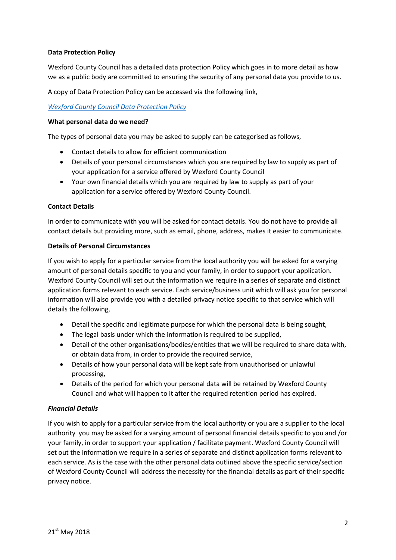## **Data Protection Policy**

Wexford County Council has a detailed data protection Policy which goes in to more detail as how we as a public body are committed to ensuring the security of any personal data you provide to us.

A copy of Data Protection Policy can be accessed via the following link,

*[Wexford County Council Data Protection Policy](https://www.wexfordcoco.ie/sites/default/files/content/GDPR/Wexford-County-Council-Data-Protection-Policy-GDPR-18.pdf)*

#### **What personal data do we need?**

The types of personal data you may be asked to supply can be categorised as follows,

- Contact details to allow for efficient communication
- Details of your personal circumstances which you are required by law to supply as part of your application for a service offered by Wexford County Council
- Your own financial details which you are required by law to supply as part of your application for a service offered by Wexford County Council.

## **Contact Details**

In order to communicate with you will be asked for contact details. You do not have to provide all contact details but providing more, such as email, phone, address, makes it easier to communicate.

## **Details of Personal Circumstances**

If you wish to apply for a particular service from the local authority you will be asked for a varying amount of personal details specific to you and your family, in order to support your application. Wexford County Council will set out the information we require in a series of separate and distinct application forms relevant to each service. Each service/business unit which will ask you for personal information will also provide you with a detailed privacy notice specific to that service which will details the following,

- Detail the specific and legitimate purpose for which the personal data is being sought,
- The legal basis under which the information is required to be supplied,
- Detail of the other organisations/bodies/entities that we will be required to share data with, or obtain data from, in order to provide the required service,
- Details of how your personal data will be kept safe from unauthorised or unlawful processing,
- Details of the period for which your personal data will be retained by Wexford County Council and what will happen to it after the required retention period has expired.

## *Financial Details*

If you wish to apply for a particular service from the local authority or you are a supplier to the local authority you may be asked for a varying amount of personal financial details specific to you and /or your family, in order to support your application / facilitate payment. Wexford County Council will set out the information we require in a series of separate and distinct application forms relevant to each service. As is the case with the other personal data outlined above the specific service/section of Wexford County Council will address the necessity for the financial details as part of their specific privacy notice.